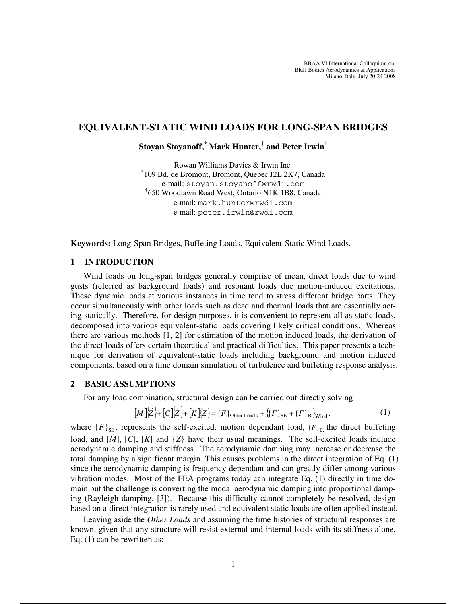# **EQUIVALENT-STATIC WIND LOADS FOR LONG-SPAN BRIDGES**

# **Stoyan Stoyanoff, \* Mark Hunter, † and Peter Irwin†**

Rowan Williams Davies & Irwin Inc. \* 109 Bd. de Bromont, Bromont, Quebec J2L 2K7, Canada e-mail: stoyan.stoyanoff@rwdi.com † 650 Woodlawn Road West, Ontario N1K 1B8, Canada e-mail: mark.hunter@rwdi.com e-mail: peter.irwin@rwdi.com

**Keywords:** Long-Span Bridges, Buffeting Loads, Equivalent-Static Wind Loads.

#### **1 INTRODUCTION**

Wind loads on long-span bridges generally comprise of mean, direct loads due to wind gusts (referred as background loads) and resonant loads due motion-induced excitations. These dynamic loads at various instances in time tend to stress different bridge parts. They occur simultaneously with other loads such as dead and thermal loads that are essentially acting statically. Therefore, for design purposes, it is convenient to represent all as static loads, decomposed into various equivalent-static loads covering likely critical conditions. Whereas there are various methods [1, 2] for estimation of the motion induced loads, the derivation of the direct loads offers certain theoretical and practical difficulties. This paper presents a technique for derivation of equivalent-static loads including background and motion induced components, based on a time domain simulation of turbulence and buffeting response analysis.

## **2 BASIC ASSUMPTIONS**

For any load combination, structural design can be carried out directly solving

$$
[M]\{Z\} + [C]\{Z\} + [K]\{Z\} = \{F\}_{\text{Other Loads}} + \{(F\}_{\text{SE}} + \{F\}_{\text{B}}\}_{\text{Wind}},\tag{1}
$$

where  ${F}_{\text{SE}}$ , represents the self-excited, motion dependant load,  ${F}_{\text{B}}$ , the direct buffeting load, and [*M*], [*C*], [*K*] and {*Z*} have their usual meanings. The self-excited loads include aerodynamic damping and stiffness. The aerodynamic damping may increase or decrease the total damping by a significant margin. This causes problems in the direct integration of Eq. (1) since the aerodynamic damping is frequency dependant and can greatly differ among various vibration modes. Most of the FEA programs today can integrate Eq. (1) directly in time domain but the challenge is converting the modal aerodynamic damping into proportional damping (Rayleigh damping, [3]). Because this difficulty cannot completely be resolved, design based on a direct integration is rarely used and equivalent static loads are often applied instead.

Leaving aside the *Other Loads* and assuming the time histories of structural responses are known, given that any structure will resist external and internal loads with its stiffness alone, Eq. (1) can be rewritten as: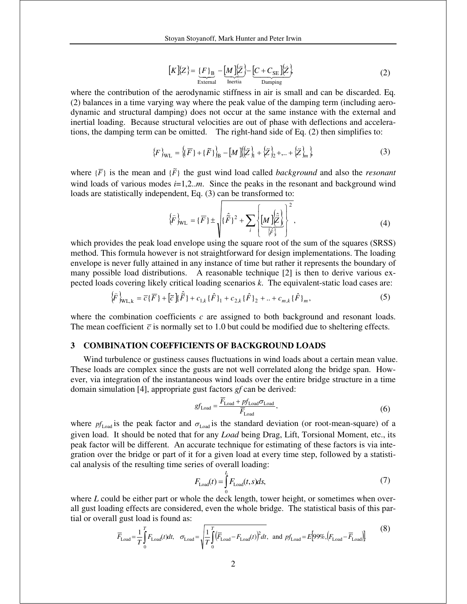$$
[K]\{Z\} = \underbrace{F}_{\text{External}} - [M]\{\ddot{Z}\} - [C + C_{\text{SE}}]\{\dot{Z}\}
$$
\n<sup>(2)</sup>

where the contribution of the aerodynamic stiffness in air is small and can be discarded. Eq. (2) balances in a time varying way where the peak value of the damping term (including aerodynamic and structural damping) does not occur at the same instance with the external and inertial loading. Because structural velocities are out of phase with deflections and accelerations, the damping term can be omitted. The right-hand side of Eq. (2) then simplifies to:

$$
\{F\}_{\text{WL}} = \{ \{ \overline{F} \} + \{ \tilde{F} \} \}_{\text{B}} - [M] \{ \left\{ \tilde{Z} \right\}_{1} + \left\{ \tilde{Z} \right\}_{2} + \dots + \left\{ \tilde{Z} \right\}_{m} \},\tag{3}
$$

where  $\{F\}$  is the mean and  $\{F\}$  the gust wind load called *background* and also the *resonant* wind loads of various modes  $i=1,2...m$ . Since the peaks in the resonant and background wind loads are statistically independent, Eq.  $(3)$  can be transformed to:

$$
\left\{\widehat{F}\right\}_{\rm WL} = \left\{\overline{F}\right\} \pm \sqrt{\left\{\widehat{\widetilde{F}}\right\}^2 + \sum_{i} \left\{\underbrace{[M]\left\{\widehat{\widetilde{Z}}\right\}}_{\left\{\widehat{F}\right\}}} \right\}^2, \tag{4}
$$

which provides the peak load envelope using the square root of the sum of the squares (SRSS) method. This formula however is not straightforward for design implementations. The loading envelope is never fully attained in any instance of time but rather it represents the boundary of many possible load distributions. A reasonable technique [2] is then to derive various expected loads covering likely critical loading scenarios *k*. The equivalent-static load cases are:

$$
\{\hat{F}\}_{\text{WL},k} = \overline{c}\{\overline{F}\} + [\tilde{c}]\{\hat{F}\} + c_{1,k}\{\hat{F}\}_1 + c_{2,k}\{\hat{F}\}_2 + ... + c_{m,k}\{\hat{F}\}_m,\tag{5}
$$

where the combination coefficients *c* are assigned to both background and resonant loads. The mean coefficient  $\bar{c}$  is normally set to 1.0 but could be modified due to sheltering effects.

# **3 COMBINATION COEFFICIENTS OF BACKGROUND LOADS**

Wind turbulence or gustiness causes fluctuations in wind loads about a certain mean value. These loads are complex since the gusts are not well correlated along the bridge span. However, via integration of the instantaneous wind loads over the entire bridge structure in a time domain simulation [4], appropriate gust factors *gf* can be derived:

$$
gf_{\text{Load}} = \frac{\overline{F}_{\text{Load}} + pf_{\text{Load}} \sigma_{\text{Load}}}{\overline{F}_{\text{Load}}},\tag{6}
$$

where  $pf_{Load}$  is the peak factor and  $\sigma_{Load}$  is the standard deviation (or root-mean-square) of a given load. It should be noted that for any *Load* being Drag, Lift, Torsional Moment, etc., its peak factor will be different. An accurate technique for estimating of these factors is via integration over the bridge or part of it for a given load at every time step, followed by a statistical analysis of the resulting time series of overall loading:

$$
F_{\text{Load}}(t) = \int_0^L F_{\text{Load}}(t, s) ds,\tag{7}
$$

where *L* could be either part or whole the deck length, tower height, or sometimes when overall gust loading effects are considered, even the whole bridge. The statistical basis of this partial or overall gust load is found as:

$$
\overline{F}_{\text{Load}} = \frac{1}{T} \int_{0}^{T} F_{\text{Load}}(t) dt, \quad \sigma_{\text{Load}} = \sqrt{\frac{1}{T} \int_{0}^{T} (\overline{F}_{\text{Load}} - F_{\text{Load}}(t))^2 dt}, \text{ and } pf_{\text{Load}} = E[99\%, (F_{\text{Load}} - \overline{F}_{\text{Load}})]
$$
(8)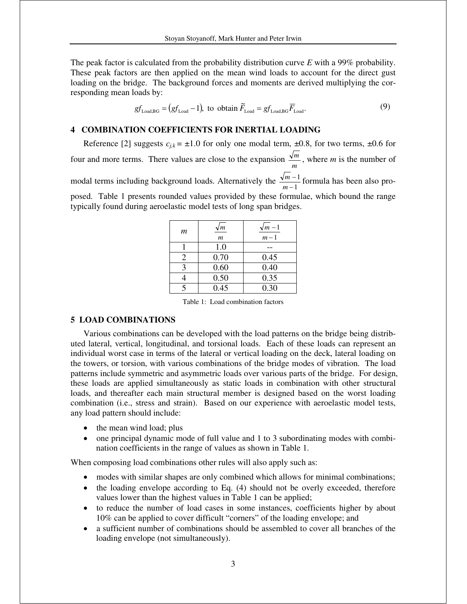The peak factor is calculated from the probability distribution curve *E* with a 99% probability. These peak factors are then applied on the mean wind loads to account for the direct gust loading on the bridge. The background forces and moments are derived multiplying the corresponding mean loads by:

$$
gf_{\text{Load,BG}} = (gf_{\text{Load}} - 1)
$$
, to obtain  $\tilde{F}_{\text{Load}} = gf_{\text{Load,BG}} \overline{F}_{\text{Load}}$ . (9)

# **4 COMBINATION COEFFICIENTS FOR INERTIAL LOADING**

Reference [2] suggests  $c_{ik} = \pm 1.0$  for only one modal term,  $\pm 0.8$ , for two terms,  $\pm 0.6$  for four and more terms. There values are close to the expansion  $\frac{\sqrt{m}}{m}$ , where *m* is the number of modal terms including background loads. Alternatively the  $\frac{\sqrt{m}}{m-1}$ 1 - -  $\frac{m-1}{m-1}$  formula has been also proposed. Table 1 presents rounded values provided by these formulae, which bound the range typically found during aeroelastic model tests of long span bridges.

| т                       | $\sqrt{m}$<br>$\mathfrak{m}$ | $\sqrt{m-1}$<br>$m-1$ |
|-------------------------|------------------------------|-----------------------|
|                         | 1.0                          |                       |
| $\mathcal{D}_{\cdot}$   | 0.70                         | 0.45                  |
| 3                       | 0.60                         | 0.40                  |
|                         | 0.50                         | 0.35                  |
| $\overline{\mathbf{S}}$ | 0.45                         | 0.30                  |

Table 1: Load combination factors

## **5 LOAD COMBINATIONS**

Various combinations can be developed with the load patterns on the bridge being distributed lateral, vertical, longitudinal, and torsional loads. Each of these loads can represent an individual worst case in terms of the lateral or vertical loading on the deck, lateral loading on the towers, or torsion, with various combinations of the bridge modes of vibration. The load patterns include symmetric and asymmetric loads over various parts of the bridge. For design, these loads are applied simultaneously as static loads in combination with other structural loads, and thereafter each main structural member is designed based on the worst loading combination (i.e., stress and strain). Based on our experience with aeroelastic model tests, any load pattern should include:

- the mean wind load; plus
- one principal dynamic mode of full value and 1 to 3 subordinating modes with combination coefficients in the range of values as shown in Table 1.

When composing load combinations other rules will also apply such as:

- modes with similar shapes are only combined which allows for minimal combinations;
- the loading envelope according to Eq. (4) should not be overly exceeded, therefore values lower than the highest values in Table 1 can be applied;
- · to reduce the number of load cases in some instances, coefficients higher by about 10% can be applied to cover difficult "corners" of the loading envelope; and
- · a sufficient number of combinations should be assembled to cover all branches of the loading envelope (not simultaneously).